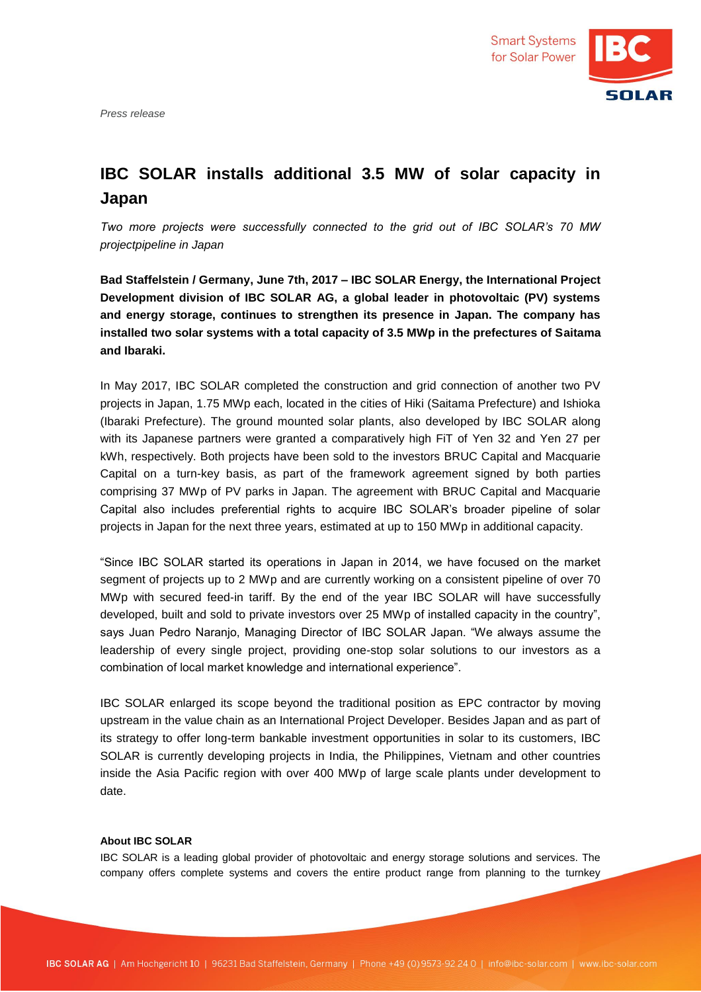*Press release*



## **IBC SOLAR installs additional 3.5 MW of solar capacity in Japan**

*Two more projects were successfully connected to the grid out of IBC SOLAR's 70 MW projectpipeline in Japan*

**Bad Staffelstein / Germany, June 7th, 2017 – IBC SOLAR Energy, the International Project Development division of IBC SOLAR AG, a global leader in photovoltaic (PV) systems and energy storage, continues to strengthen its presence in Japan. The company has installed two solar systems with a total capacity of 3.5 MWp in the prefectures of Saitama and Ibaraki.**

In May 2017, IBC SOLAR completed the construction and grid connection of another two PV projects in Japan, 1.75 MWp each, located in the cities of Hiki (Saitama Prefecture) and Ishioka (Ibaraki Prefecture). The ground mounted solar plants, also developed by IBC SOLAR along with its Japanese partners were granted a comparatively high FiT of Yen 32 and Yen 27 per kWh, respectively. Both projects have been sold to the investors BRUC Capital and Macquarie Capital on a turn-key basis, as part of the framework agreement signed by both parties comprising 37 MWp of PV parks in Japan. The agreement with BRUC Capital and Macquarie Capital also includes preferential rights to acquire IBC SOLAR's broader pipeline of solar projects in Japan for the next three years, estimated at up to 150 MWp in additional capacity.

"Since IBC SOLAR started its operations in Japan in 2014, we have focused on the market segment of projects up to 2 MWp and are currently working on a consistent pipeline of over 70 MWp with secured feed-in tariff. By the end of the year IBC SOLAR will have successfully developed, built and sold to private investors over 25 MWp of installed capacity in the country", says Juan Pedro Naranjo, Managing Director of IBC SOLAR Japan. "We always assume the leadership of every single project, providing one-stop solar solutions to our investors as a combination of local market knowledge and international experience".

IBC SOLAR enlarged its scope beyond the traditional position as EPC contractor by moving upstream in the value chain as an International Project Developer. Besides Japan and as part of its strategy to offer long-term bankable investment opportunities in solar to its customers, IBC SOLAR is currently developing projects in India, the Philippines, Vietnam and other countries inside the Asia Pacific region with over 400 MWp of large scale plants under development to date.

## **About IBC SOLAR**

IBC SOLAR is a leading global provider of photovoltaic and energy storage solutions and services. The company offers complete systems and covers the entire product range from planning to the turnkey